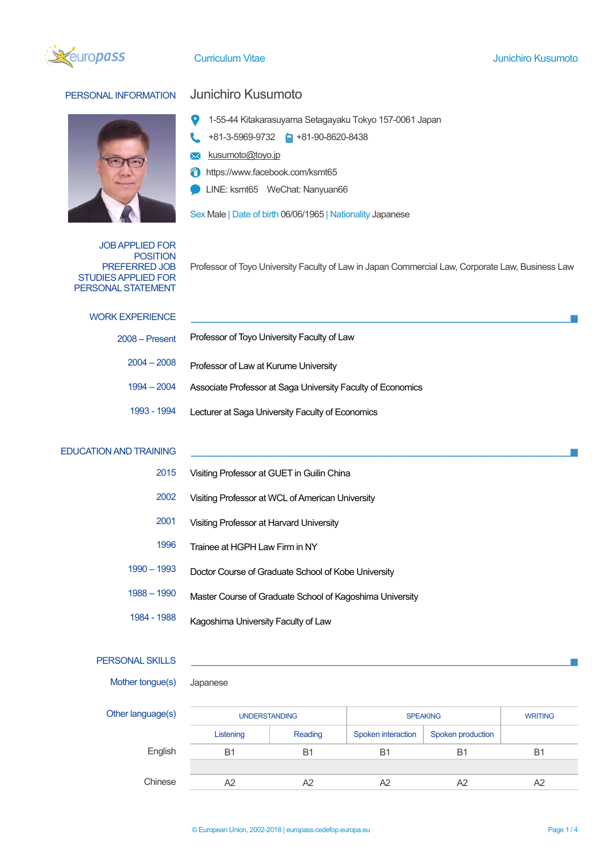



# PERSONAL INFORMATION Junichiro Kusumoto

- 1-55-44 Kitakarasuyama Setagayaku Tokyo 157-0061 Japan
- +81-3-5969-9732 +81-90-8620-8438
- kusumoto@toyo.jp  $\boxtimes$
- A https://www.facebook.com/ksmt65
- LINE: ksmt65 WeChat: Nanyuan66

Sex Male | Date of birth 06/06/1965 | Nationality Japanese

JOB APPLIED FOR POSITION PREFERRED JOB STUDIES APPLIED FOR PERSONAL STATEMENT

Professor of Toyo University Faculty of Law in Japan Commercial Law, Corporate Law, Business Law

| <b>WORK EXPERIENCE</b>        |                                                             |  |  |  |  |
|-------------------------------|-------------------------------------------------------------|--|--|--|--|
| $2008 -$ Present              | Professor of Toyo University Faculty of Law                 |  |  |  |  |
| $2004 - 2008$                 | Professor of Law at Kurume University                       |  |  |  |  |
| $1994 - 2004$                 | Associate Professor at Saga University Faculty of Economics |  |  |  |  |
| 1993 - 1994                   | Lecturer at Saga University Faculty of Economics            |  |  |  |  |
|                               |                                                             |  |  |  |  |
| <b>EDUCATION AND TRAINING</b> |                                                             |  |  |  |  |
| 2015                          | Visiting Professor at GUET in Guilin China                  |  |  |  |  |
| 2002                          | Visiting Professor at WCL of American University            |  |  |  |  |

- 2001 Visiting Professor at Harvard University
- 1996 Trainee at HGPH Law Firm in NY
- 1990 1993 Doctor Course of Graduate School of Kobe University
- 1988 1990 Master Course of Graduate School of Kagoshima University
- 1984 1988 Kagoshima University Faculty of Law

## PERSONAL SKILLS

- Mother tongue(s) Japanese
	-

| Other language(s) | <b>UNDERSTANDING</b> |         | <b>SPEAKING</b>    | <b>WRITING</b>    |            |  |  |  |
|-------------------|----------------------|---------|--------------------|-------------------|------------|--|--|--|
|                   | Listening            | Reading | Spoken interaction | Spoken production |            |  |  |  |
| English           | B1                   | B1      | B1                 | B1                | <b>B</b> 1 |  |  |  |
|                   |                      |         |                    |                   |            |  |  |  |
| Chinese           |                      | A2      | A2                 | A2                | A2         |  |  |  |
|                   |                      |         |                    |                   |            |  |  |  |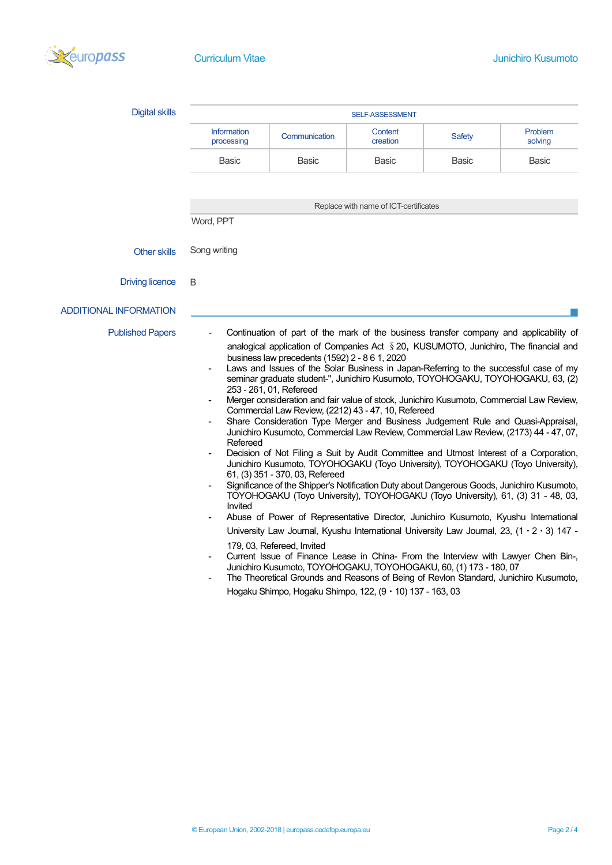

| <b>Digital skills</b>         | SELF-ASSESSMENT                                                                                                                                                                                                                                                                                                                                                                                                                                                                                                                                                                                                                                                                                                                                                                                                                                                                                                                                                                                                                                                                                                                                                                                                                                                                                                                                                                                                                                                                                                                                                                                                                                                                                                                               |               |                                       |               |                    |  |  |
|-------------------------------|-----------------------------------------------------------------------------------------------------------------------------------------------------------------------------------------------------------------------------------------------------------------------------------------------------------------------------------------------------------------------------------------------------------------------------------------------------------------------------------------------------------------------------------------------------------------------------------------------------------------------------------------------------------------------------------------------------------------------------------------------------------------------------------------------------------------------------------------------------------------------------------------------------------------------------------------------------------------------------------------------------------------------------------------------------------------------------------------------------------------------------------------------------------------------------------------------------------------------------------------------------------------------------------------------------------------------------------------------------------------------------------------------------------------------------------------------------------------------------------------------------------------------------------------------------------------------------------------------------------------------------------------------------------------------------------------------------------------------------------------------|---------------|---------------------------------------|---------------|--------------------|--|--|
|                               | <b>Information</b><br>processing                                                                                                                                                                                                                                                                                                                                                                                                                                                                                                                                                                                                                                                                                                                                                                                                                                                                                                                                                                                                                                                                                                                                                                                                                                                                                                                                                                                                                                                                                                                                                                                                                                                                                                              | Communication | Content<br>creation                   | <b>Safety</b> | Problem<br>solving |  |  |
|                               | <b>Basic</b>                                                                                                                                                                                                                                                                                                                                                                                                                                                                                                                                                                                                                                                                                                                                                                                                                                                                                                                                                                                                                                                                                                                                                                                                                                                                                                                                                                                                                                                                                                                                                                                                                                                                                                                                  | Basic         | <b>Basic</b>                          | Basic         | <b>Basic</b>       |  |  |
|                               |                                                                                                                                                                                                                                                                                                                                                                                                                                                                                                                                                                                                                                                                                                                                                                                                                                                                                                                                                                                                                                                                                                                                                                                                                                                                                                                                                                                                                                                                                                                                                                                                                                                                                                                                               |               |                                       |               |                    |  |  |
|                               |                                                                                                                                                                                                                                                                                                                                                                                                                                                                                                                                                                                                                                                                                                                                                                                                                                                                                                                                                                                                                                                                                                                                                                                                                                                                                                                                                                                                                                                                                                                                                                                                                                                                                                                                               |               | Replace with name of ICT-certificates |               |                    |  |  |
|                               | Word, PPT                                                                                                                                                                                                                                                                                                                                                                                                                                                                                                                                                                                                                                                                                                                                                                                                                                                                                                                                                                                                                                                                                                                                                                                                                                                                                                                                                                                                                                                                                                                                                                                                                                                                                                                                     |               |                                       |               |                    |  |  |
| <b>Other skills</b>           | Song writing                                                                                                                                                                                                                                                                                                                                                                                                                                                                                                                                                                                                                                                                                                                                                                                                                                                                                                                                                                                                                                                                                                                                                                                                                                                                                                                                                                                                                                                                                                                                                                                                                                                                                                                                  |               |                                       |               |                    |  |  |
| <b>Driving licence</b>        | B                                                                                                                                                                                                                                                                                                                                                                                                                                                                                                                                                                                                                                                                                                                                                                                                                                                                                                                                                                                                                                                                                                                                                                                                                                                                                                                                                                                                                                                                                                                                                                                                                                                                                                                                             |               |                                       |               |                    |  |  |
| <b>ADDITIONAL INFORMATION</b> |                                                                                                                                                                                                                                                                                                                                                                                                                                                                                                                                                                                                                                                                                                                                                                                                                                                                                                                                                                                                                                                                                                                                                                                                                                                                                                                                                                                                                                                                                                                                                                                                                                                                                                                                               |               |                                       |               |                    |  |  |
| <b>Published Papers</b>       | Continuation of part of the mark of the business transfer company and applicability of<br>analogical application of Companies Act § 20, KUSUMOTO, Junichiro, The financial and<br>business law precedents (1592) 2 - 8 6 1, 2020<br>Laws and Issues of the Solar Business in Japan-Referring to the successful case of my<br>seminar graduate student-", Junichiro Kusumoto, TOYOHOGAKU, TOYOHOGAKU, 63, (2)<br>253 - 261, 01, Refereed<br>Merger consideration and fair value of stock, Junichiro Kusumoto, Commercial Law Review,<br>Commercial Law Review, (2212) 43 - 47, 10, Refereed<br>Share Consideration Type Merger and Business Judgement Rule and Quasi-Appraisal,<br>Junichiro Kusumoto, Commercial Law Review, Commercial Law Review, (2173) 44 - 47, 07,<br>Refereed<br>Decision of Not Filing a Suit by Audit Committee and Utmost Interest of a Corporation,<br>Junichiro Kusumoto, TOYOHOGAKU (Toyo University), TOYOHOGAKU (Toyo University),<br>61, (3) 351 - 370, 03, Refereed<br>Significance of the Shipper's Notification Duty about Dangerous Goods, Junichiro Kusumoto,<br>TOYOHOGAKU (Toyo University), TOYOHOGAKU (Toyo University), 61, (3) 31 - 48, 03,<br>Invited<br>Abuse of Power of Representative Director, Junichiro Kusumoto, Kyushu International<br>University Law Journal, Kyushu International University Law Journal, 23, $(1 \cdot 2 \cdot 3)$ 147 -<br>179, 03, Refereed, Invited<br>Current Issue of Finance Lease in China- From the Interview with Lawyer Chen Bin-,<br>Junichiro Kusumoto, TOYOHOGAKU, TOYOHOGAKU, 60, (1) 173 - 180, 07<br>The Theoretical Grounds and Reasons of Being of Revlon Standard, Junichiro Kusumoto,<br>Hogaku Shimpo, Hogaku Shimpo, 122, (9 · 10) 137 - 163, 03 |               |                                       |               |                    |  |  |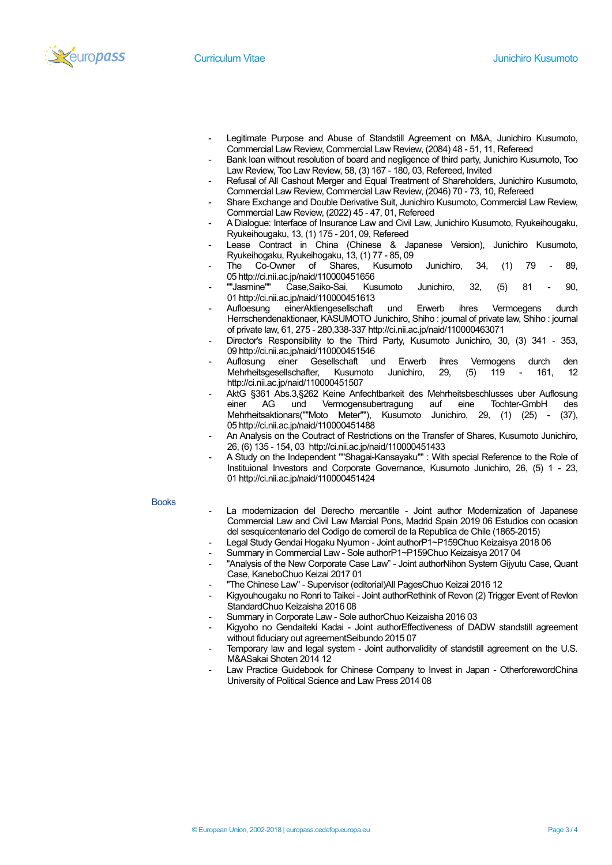

- Legitimate Purpose and Abuse of Standstill Agreement on M&A, Junichiro Kusumoto, Commercial Law Review, Commercial Law Review, (2084) 48 - 51, 11, Refereed
- Bank loan without resolution of board and negligence of third party, Junichiro Kusumoto, Too Law Review, Too Law Review, 58, (3) 167 - 180, 03, Refereed, Invited
- Refusal of All Cashout Merger and Equal Treatment of Shareholders, Junichiro Kusumoto, Commercial Law Review, Commercial Law Review, (2046) 70 - 73, 10, Refereed
- Share Exchange and Double Derivative Suit, Junichiro Kusumoto, Commercial Law Review, Commercial Law Review, (2022) 45 - 47, 01, Refereed
- A Dialogue: Interface of Insurance Law and Civil Law, Junichiro Kusumoto, Ryukeihougaku, Ryukeihougaku, 13, (1) 175 - 201, 09, Refereed
- Lease Contract in China (Chinese & Japanese Version), Junichiro Kusumoto, Ryukeihogaku, Ryukeihogaku, 13, (1) 77 - 85, 09
- The Co-Owner of Shares, Kusumoto Junichiro, 34, (1) 79 89, 05 http://ci.nii.ac.jp/naid/110000451656<br>""Jasmine"" Case,Saiko-Sai, Kus
- Case,Saiko-Sai, Kusumoto Junichiro, 32, (5) 81 90, 01 http://ci.nii.ac.jp/naid/110000451613
- Aufloesung einerAktiengesellschaft und Erwerb ihres Vermoegens durch Herrschendenaktionaer, KASUMOTO Junichiro, Shiho : journal of private law, Shiho : journal of private law, 61, 275 - 280,338-337 http://ci.nii.ac.jp/naid/110000463071
- Director's Responsibility to the Third Party, Kusumoto Junichiro, 30, (3) 341 353, 09 http://ci.nii.ac.jp/naid/110000451546
- Auflosung einer Gesellschaft und Erwerb ihres Vermogens durch den Mehrheitsgesellschafter, Kusumoto Junichiro, 29, (5) 119 - 161, 12 http://ci.nii.ac.jp/naid/110000451507
- AktG §361 Abs.3,§262 Keine Anfechtbarkeit des Mehrheitsbeschlusses uber Auflosung einer AG und Vermogensubertragung auf eine Tochter-GmbH des Mehrheitsaktionars(""Moto Meter""), Kusumoto Junichiro, 29, (1) (25) - (37), 05 http://ci.nii.ac.jp/naid/110000451488
- An Analysis on the Coutract of Restrictions on the Transfer of Shares, Kusumoto Junichiro, 26, (6) 135 - 154, 03 http://ci.nii.ac.jp/naid/110000451433
- A Study on the Independent ""Shagai-Kansayaku"" : With special Reference to the Role of Instituional Investors and Corporate Governance, Kusumoto Junichiro, 26, (5) 1 - 23, 01 http://ci.nii.ac.jp/naid/110000451424

### **Books**

- La modernizacion del Derecho mercantile Joint author Modernization of Japanese Commercial Law and Civil Law Marcial Pons, Madrid Spain 2019 06 Estudios con ocasion del sesquicentenario del Codigo de comercil de la Republica de Chile (1865-2015)
- Legal Study Gendai Hogaku Nyumon Joint authorP1~P159Chuo Keizaisya 2018 06
- Summary in Commercial Law Sole authorP1~P159Chuo Keizaisya 2017 04
- "Analysis of the New Corporate Case Law" Joint authorNihon System Gijyutu Case, Quant Case, KaneboChuo Keizai 2017 01
- "The Chinese Law" Supervisor (editorial)All PagesChuo Keizai 2016 12
- Kigyouhougaku no Ronri to Taikei Joint authorRethink of Revon (2) Trigger Event of Revlon StandardChuo Keizaisha 2016 08
- Summary in Corporate Law Sole authorChuo Keizaisha 2016 03
- Kigyoho no Gendaiteki Kadai Joint authorEffectiveness of DADW standstill agreement without fiduciary out agreementSeibundo 2015 07
- Temporary law and legal system Joint authorvalidity of standstill agreement on the U.S. M&ASakai Shoten 2014 12
- Law Practice Guidebook for Chinese Company to Invest in Japan OtherforewordChina University of Political Science and Law Press 2014 08